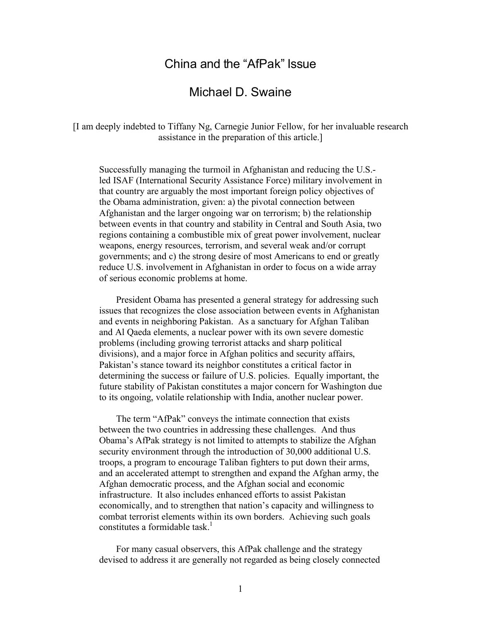# China and the "AfPak" Issue

# Michael D. Swaine

[I am deeply indebted to Tiffany Ng, Carnegie Junior Fellow, for her invaluable research assistance in the preparation of this article.]

Successfully managing the turmoil in Afghanistan and reducing the U.S. led ISAF (International Security Assistance Force) military involvement in that country are arguably the most important foreign policy objectives of the Obama administration, given: a) the pivotal connection between Afghanistan and the larger ongoing war on terrorism; b) the relationship between events in that country and stability in Central and South Asia, two regions containing a combustible mix of great power involvement, nuclear weapons, energy resources, terrorism, and several weak and/or corrupt governments; and c) the strong desire of most Americans to end or greatly reduce U.S. involvement in Afghanistan in order to focus on a wide array of serious economic problems at home.

President Obama has presented a general strategy for addressing such issues that recognizes the close association between events in Afghanistan and events in neighboring Pakistan. As a sanctuary for Afghan Taliban and Al Qaeda elements, a nuclear power with its own severe domestic problems (including growing terrorist attacks and sharp political divisions), and a major force in Afghan politics and security affairs, Pakistan's stance toward its neighbor constitutes a critical factor in determining the success or failure of U.S. policies. Equally important, the future stability of Pakistan constitutes a major concern for Washington due to its ongoing, volatile relationship with India, another nuclear power.

The term "AfPak" conveys the intimate connection that exists between the two countries in addressing these challenges. And thus Obama's AfPak strategy is not limited to attempts to stabilize the Afghan security environment through the introduction of 30,000 additional U.S. troops, a program to encourage Taliban fighters to put down their arms, and an accelerated attempt to strengthen and expand the Afghan army, the Afghan democratic process, and the Afghan social and economic infrastructure. It also includes enhanced efforts to assist Pakistan economically, and to strengthen that nation's capacity and willingness to combat terrorist elements within its own borders. Achieving such goals constitutes a formidable task. 1

For many casual observers, this AfPak challenge and the strategy devised to address it are generally not regarded as being closely connected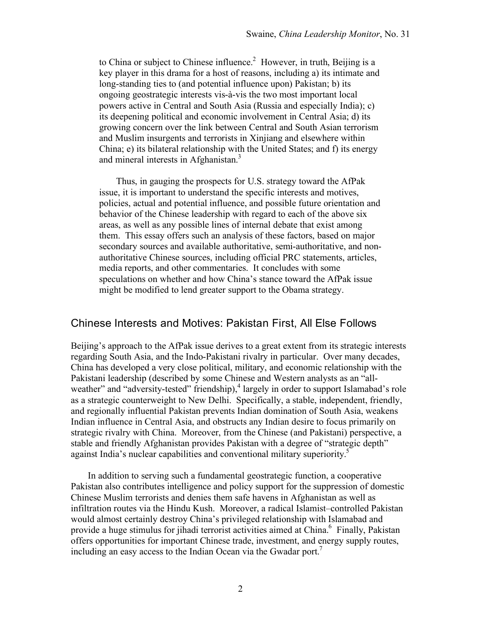to China or subject to Chinese influence. $2$  However, in truth, Beijing is a key player in this drama for a host of reasons, including a) its intimate and long-standing ties to (and potential influence upon) Pakistan; b) its ongoing geostrategic interests vis-à-vis the two most important local powers active in Central and South Asia (Russia and especially India); c) its deepening political and economic involvement in Central Asia; d) its growing concern over the link between Central and South Asian terrorism and Muslim insurgents and terrorists in Xinjiang and elsewhere within China; e) its bilateral relationship with the United States; and f) its energy and mineral interests in Afghanistan.<sup>3</sup>

Thus, in gauging the prospects for U.S. strategy toward the AfPak issue, it is important to understand the specific interests and motives, policies, actual and potential influence, and possible future orientation and behavior of the Chinese leadership with regard to each of the above six areas, as well as any possible lines of internal debate that exist among them. This essay offers such an analysis of these factors, based on major secondary sources and available authoritative, semi-authoritative, and nonauthoritative Chinese sources, including official PRC statements, articles, media reports, and other commentaries. It concludes with some speculations on whether and how China's stance toward the AfPak issue might be modified to lend greater support to the Obama strategy.

#### Chinese Interests and Motives: Pakistan First, All Else Follows

Beijing's approach to the AfPak issue derives to a great extent from its strategic interests regarding South Asia, and the Indo-Pakistani rivalry in particular. Over many decades, China has developed a very close political, military, and economic relationship with the Pakistani leadership (described by some Chinese and Western analysts as an "allweather" and "adversity-tested" friendship),<sup>4</sup> largely in order to support Islamabad's role as a strategic counterweight to New Delhi. Specifically, a stable, independent, friendly, and regionally influential Pakistan prevents Indian domination of South Asia, weakens Indian influence in Central Asia, and obstructs any Indian desire to focus primarily on strategic rivalry with China. Moreover, from the Chinese (and Pakistani) perspective, a stable and friendly Afghanistan provides Pakistan with a degree of "strategic depth" against India's nuclear capabilities and conventional military superiority.<sup>5</sup>

In addition to serving such a fundamental geostrategic function, a cooperative Pakistan also contributes intelligence and policy support for the suppression of domestic Chinese Muslim terrorists and denies them safe havens in Afghanistan as well as infiltration routes via the Hindu Kush. Moreover, a radical Islamist–controlled Pakistan would almost certainly destroy China's privileged relationship with Islamabad and provide a huge stimulus for jihadi terrorist activities aimed at China.<sup>6</sup> Finally, Pakistan offers opportunities for important Chinese trade, investment, and energy supply routes, including an easy access to the Indian Ocean via the Gwadar port.<sup>7</sup>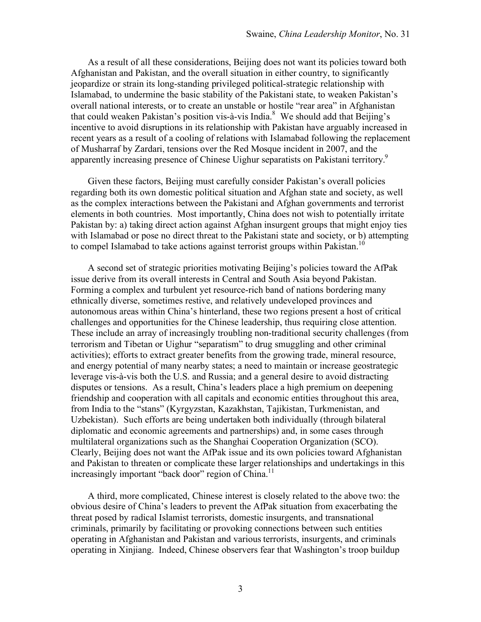As a result of all these considerations, Beijing does not want its policies toward both Afghanistan and Pakistan, and the overall situation in either country, to significantly jeopardize or strain its long-standing privileged political-strategic relationship with Islamabad, to undermine the basic stability of the Pakistani state, to weaken Pakistan's overall national interests, or to create an unstable or hostile "rear area" in Afghanistan that could weaken Pakistan's position vis-à-vis India.<sup>8</sup> We should add that Beijing's incentive to avoid disruptions in its relationship with Pakistan have arguably increased in recent years as a result of a cooling of relations with Islamabad following the replacement of Musharraf by Zardari, tensions over the Red Mosque incident in 2007, and the apparently increasing presence of Chinese Uighur separatists on Pakistani territory.9

Given these factors, Beijing must carefully consider Pakistan's overall policies regarding both its own domestic political situation and Afghan state and society, as well as the complex interactions between the Pakistani and Afghan governments and terrorist elements in both countries. Most importantly, China does not wish to potentially irritate Pakistan by: a) taking direct action against Afghan insurgent groups that might enjoy ties with Islamabad or pose no direct threat to the Pakistani state and society, or b) attempting to compel Islamabad to take actions against terrorist groups within Pakistan.<sup>10</sup>

A second set of strategic priorities motivating Beijing's policies toward the AfPak issue derive from its overall interests in Central and South Asia beyond Pakistan. Forming a complex and turbulent yet resource-rich band of nations bordering many ethnically diverse, sometimes restive, and relatively undeveloped provinces and autonomous areas within China's hinterland, these two regions present a host of critical challenges and opportunities for the Chinese leadership, thus requiring close attention. These include an array of increasingly troubling non-traditional security challenges (from terrorism and Tibetan or Uighur "separatism" to drug smuggling and other criminal activities); efforts to extract greater benefits from the growing trade, mineral resource, and energy potential of many nearby states; a need to maintain or increase geostrategic leverage vis-à-vis both the U.S. and Russia; and a general desire to avoid distracting disputes or tensions. As a result, China's leaders place a high premium on deepening friendship and cooperation with all capitals and economic entities throughout this area, from India to the "stans" (Kyrgyzstan, Kazakhstan, Tajikistan, Turkmenistan, and Uzbekistan). Such efforts are being undertaken both individually (through bilateral diplomatic and economic agreements and partnerships) and, in some cases through multilateral organizations such as the Shanghai Cooperation Organization (SCO). Clearly, Beijing does not want the AfPak issue and its own policies toward Afghanistan and Pakistan to threaten or complicate these larger relationships and undertakings in this increasingly important "back door" region of China.<sup>11</sup>

A third, more complicated, Chinese interest is closely related to the above two: the obvious desire of China's leaders to prevent the AfPak situation from exacerbating the threat posed by radical Islamist terrorists, domestic insurgents, and transnational criminals, primarily by facilitating or provoking connections between such entities operating in Afghanistan and Pakistan and various terrorists, insurgents, and criminals operating in Xinjiang. Indeed, Chinese observers fear that Washington's troop buildup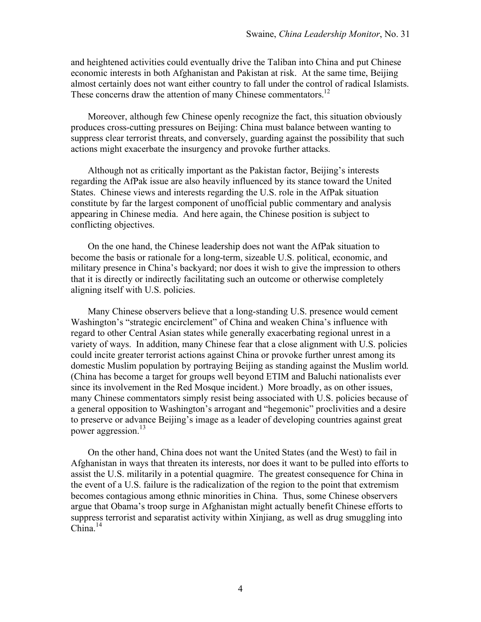and heightened activities could eventually drive the Taliban into China and put Chinese economic interests in both Afghanistan and Pakistan at risk. At the same time, Beijing almost certainly does not want either country to fall under the control of radical Islamists. These concerns draw the attention of many Chinese commentators.<sup>12</sup>

Moreover, although few Chinese openly recognize the fact, this situation obviously produces cross-cutting pressures on Beijing: China must balance between wanting to suppress clear terrorist threats, and conversely, guarding against the possibility that such actions might exacerbate the insurgency and provoke further attacks.

Although not as critically important as the Pakistan factor, Beijing's interests regarding the AfPak issue are also heavily influenced by its stance toward the United States. Chinese views and interests regarding the U.S. role in the AfPak situation constitute by far the largest component of unofficial public commentary and analysis appearing in Chinese media. And here again, the Chinese position is subject to conflicting objectives.

On the one hand, the Chinese leadership does not want the AfPak situation to become the basis or rationale for a long-term, sizeable U.S. political, economic, and military presence in China's backyard; nor does it wish to give the impression to others that it is directly or indirectly facilitating such an outcome or otherwise completely aligning itself with U.S. policies.

Many Chinese observers believe that a long-standing U.S. presence would cement Washington's "strategic encirclement" of China and weaken China's influence with regard to other Central Asian states while generally exacerbating regional unrest in a variety of ways. In addition, many Chinese fear that a close alignment with U.S. policies could incite greater terrorist actions against China or provoke further unrest among its domestic Muslim population by portraying Beijing as standing against the Muslim world. (China has become a target for groups well beyond ETIM and Baluchi nationalists ever since its involvement in the Red Mosque incident.) More broadly, as on other issues, many Chinese commentators simply resist being associated with U.S. policies because of a general opposition to Washington's arrogant and "hegemonic" proclivities and a desire to preserve or advance Beijing's image as a leader of developing countries against great power aggression.<sup>13</sup>

On the other hand, China does not want the United States (and the West) to fail in Afghanistan in ways that threaten its interests, nor does it want to be pulled into efforts to assist the U.S. militarily in a potential quagmire. The greatest consequence for China in the event of a U.S. failure is the radicalization of the region to the point that extremism becomes contagious among ethnic minorities in China. Thus, some Chinese observers argue that Obama's troop surge in Afghanistan might actually benefit Chinese efforts to suppress terrorist and separatist activity within Xinjiang, as well as drug smuggling into  $China.<sup>14</sup>$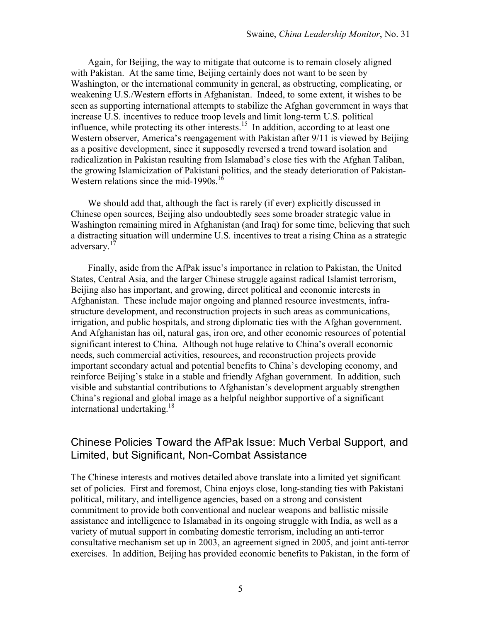Again, for Beijing, the way to mitigate that outcome is to remain closely aligned with Pakistan. At the same time, Beijing certainly does not want to be seen by Washington, or the international community in general, as obstructing, complicating, or weakening U.S./Western efforts in Afghanistan. Indeed, to some extent, it wishes to be seen as supporting international attempts to stabilize the Afghan government in ways that increase U.S. incentives to reduce troop levels and limit long-term U.S. political influence, while protecting its other interests.<sup>15</sup> In addition, according to at least one Western observer, America's reengagement with Pakistan after 9/11 is viewed by Beijing as a positive development, since it supposedly reversed a trend toward isolation and radicalization in Pakistan resulting from Islamabad's close ties with the Afghan Taliban, the growing Islamicization of Pakistani politics, and the steady deterioration of Pakistan-Western relations since the mid-1990s.<sup>16</sup>

We should add that, although the fact is rarely (if ever) explicitly discussed in Chinese open sources, Beijing also undoubtedly sees some broader strategic value in Washington remaining mired in Afghanistan (and Iraq) for some time, believing that such a distracting situation will undermine U.S. incentives to treat a rising China as a strategic adversary.<sup>17</sup>

Finally, aside from the AfPak issue's importance in relation to Pakistan, the United States, Central Asia, and the larger Chinese struggle against radical Islamist terrorism, Beijing also has important, and growing, direct political and economic interests in Afghanistan. These include major ongoing and planned resource investments, infrastructure development, and reconstruction projects in such areas as communications, irrigation, and public hospitals, and strong diplomatic ties with the Afghan government. And Afghanistan has oil, natural gas, iron ore, and other economic resources of potential significant interest to China. Although not huge relative to China's overall economic needs, such commercial activities, resources, and reconstruction projects provide important secondary actual and potential benefits to China's developing economy, and reinforce Beijing's stake in a stable and friendly Afghan government. In addition, such visible and substantial contributions to Afghanistan's development arguably strengthen China's regional and global image as a helpful neighbor supportive of a significant international undertaking.<sup>18</sup>

### Chinese Policies Toward the AfPak Issue: Much Verbal Support, and Limited, but Significant, Non-Combat Assistance

The Chinese interests and motives detailed above translate into a limited yet significant set of policies. First and foremost, China enjoys close, long-standing ties with Pakistani political, military, and intelligence agencies, based on a strong and consistent commitment to provide both conventional and nuclear weapons and ballistic missile assistance and intelligence to Islamabad in its ongoing struggle with India, as well as a variety of mutual support in combating domestic terrorism, including an anti-terror consultative mechanism set up in 2003, an agreement signed in 2005, and joint anti-terror exercises. In addition, Beijing has provided economic benefits to Pakistan, in the form of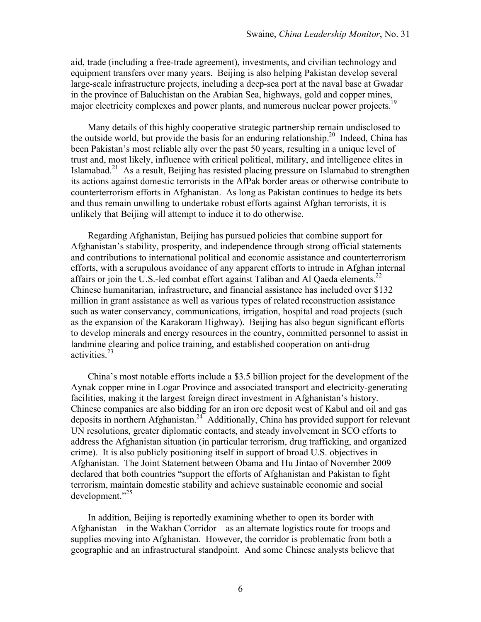aid, trade (including a free-trade agreement), investments, and civilian technology and equipment transfers over many years. Beijing is also helping Pakistan develop several large-scale infrastructure projects, including a deep-sea port at the naval base at Gwadar Iarge-scale infrastructure projects, increasing a sea, highways, gold and copper mines, major electricity complexes and power plants, and numerous nuclear power projects.<sup>1</sup>

Many details of this highly cooperative strategic partnership remain undisclosed to the outside world, but provide the basis for an enduring relationship.<sup>20</sup> Indeed, China has been Pakistan's most reliable ally over the past 50 years, resulting in a unique level of trust and, most likely, influence with critical political, military, and intelligence elites in Islamabad.<sup>21</sup> As a result, Beijing has resisted placing pressure on Islamabad to strengthen its actions against domestic terrorists in the AfPak border areas or otherwise contribute to counterterrorism efforts in Afghanistan. As long as Pakistan continues to hedge its bets and thus remain unwilling to undertake robust efforts against Afghan terrorists, it is unlikely that Beijing will attempt to induce it to do otherwise.

Regarding Afghanistan, Beijing has pursued policies that combine support for Afghanistan's stability, prosperity, and independence through strong official statements and contributions to international political and economic assistance and counterterrorism efforts, with a scrupulous avoidance of any apparent efforts to intrude in Afghan internal affairs or join the U.S.-led combat effort against Taliban and Al Qaeda elements.<sup>22</sup> Chinese humanitarian, infrastructure, and financial assistance has included over \$132 million in grant assistance as well as various types of related reconstruction assistance such as water conservancy, communications, irrigation, hospital and road projects (such as the expansion of the Karakoram Highway). Beijing has also begun significant efforts to develop minerals and energy resources in the country, committed personnel to assist in landmine clearing and police training, and established cooperation on anti-drug activities.<sup>23</sup>

China's most notable efforts include a \$3.5 billion project for the development of the Aynak copper mine in Logar Province and associated transport and electricity-generating facilities, making it the largest foreign direct investment in Afghanistan's history. Chinese companies are also bidding for an iron ore deposit west of Kabul and oil and gas deposits in northern Afghanistan.<sup>24</sup> Additionally, China has provided support for relevant UN resolutions, greater diplomatic contacts, and steady involvement in SCO efforts to address the Afghanistan situation (in particular terrorism, drug trafficking, and organized crime). It is also publicly positioning itself in support of broad U.S. objectives in Afghanistan. The Joint Statement between Obama and Hu Jintao of November 2009 declared that both countries "support the efforts of Afghanistan and Pakistan to fight terrorism, maintain domestic stability and achieve sustainable economic and social development."25

In addition, Beijing is reportedly examining whether to open its border with Afghanistan—in the Wakhan Corridor—as an alternate logistics route for troops and supplies moving into Afghanistan. However, the corridor is problematic from both a geographic and an infrastructural standpoint. And some Chinese analysts believe that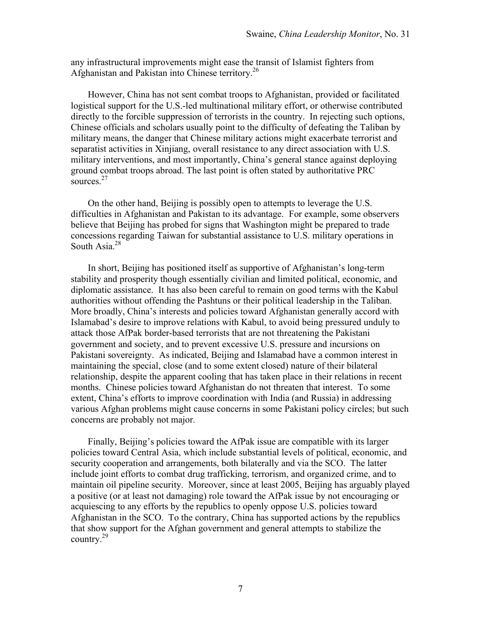any infrastructural improvements might ease the transit of Islamist fighters from Afghanistan and Pakistan into Chinese territory. 26

However, China has not sent combat troops to Afghanistan, provided or facilitated logistical support for the U.S.-led multinational military effort, or otherwise contributed directly to the forcible suppression of terrorists in the country. In rejecting such options, Chinese officials and scholars usually point to the difficulty of defeating the Taliban by military means, the danger that Chinese military actions might exacerbate terrorist and separatist activities in Xinjiang, overall resistance to any direct association with U.S. military interventions, and most importantly, China's general stance against deploying ground combat troops abroad. The last point is often stated by authoritative PRC sources $^{27}$ 

On the other hand, Beijing is possibly open to attempts to leverage the U.S. difficulties in Afghanistan and Pakistan to its advantage. For example, some observers believe that Beijing has probed for signs that Washington might be prepared to trade concessions regarding Taiwan for substantial assistance to U.S. military operations in South Asia.<sup>28</sup>

In short, Beijing has positioned itself as supportive of Afghanistan's long-term stability and prosperity though essentially civilian and limited political, economic, and diplomatic assistance. It has also been careful to remain on good terms with the Kabul authorities without offending the Pashtuns or their political leadership in the Taliban. More broadly, China's interests and policies toward Afghanistan generally accord with Islamabad's desire to improve relations with Kabul, to avoid being pressured unduly to attack those AfPak border-based terrorists that are not threatening the Pakistani government and society, and to prevent excessive U.S. pressure and incursions on Pakistani sovereignty. As indicated, Beijing and Islamabad have a common interest in maintaining the special, close (and to some extent closed) nature of their bilateral relationship, despite the apparent cooling that has taken place in their relations in recent months. Chinese policies toward Afghanistan do not threaten that interest. To some extent, China's efforts to improve coordination with India (and Russia) in addressing various Afghan problems might cause concerns in some Pakistani policy circles; but such concerns are probably not major.

Finally, Beijing's policies toward the AfPak issue are compatible with its larger policies toward Central Asia, which include substantial levels of political, economic, and security cooperation and arrangements, both bilaterally and via the SCO. The latter include joint efforts to combat drug trafficking, terrorism, and organized crime, and to maintain oil pipeline security. Moreover, since at least 2005, Beijing has arguably played a positive (or at least not damaging) role toward the AfPak issue by not encouraging or acquiescing to any efforts by the republics to openly oppose U.S. policies toward Afghanistan in the SCO. To the contrary, China has supported actions by the republics that show support for the Afghan government and general attempts to stabilize the country.29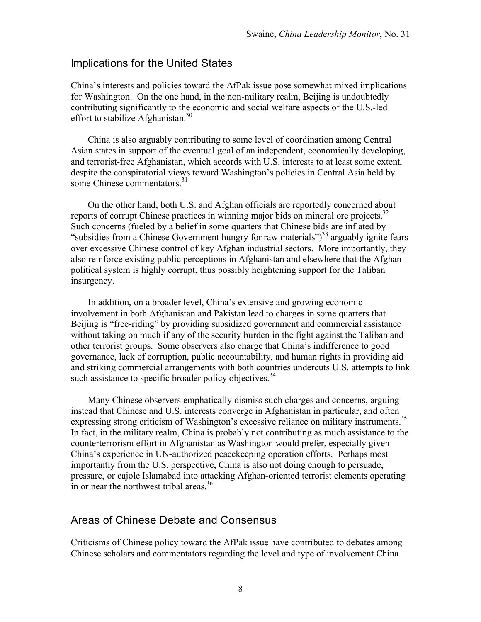### Implications for the United States

China's interests and policies toward the AfPak issue pose somewhat mixed implications for Washington. On the one hand, in the non-military realm, Beijing is undoubtedly contributing significantly to the economic and social welfare aspects of the U.S.-led effort to stabilize Afghanistan.<sup>30</sup>

China is also arguably contributing to some level of coordination among Central Asian states in support of the eventual goal of an independent, economically developing, and terrorist-free Afghanistan, which accords with U.S. interests to at least some extent, despite the conspiratorial views toward Washington's policies in Central Asia held by some Chinese commentators. 31

On the other hand, both U.S. and Afghan officials are reportedly concerned about reports of corrupt Chinese practices in winning major bids on mineral ore projects.<sup>32</sup> Such concerns (fueled by a belief in some quarters that Chinese bids are inflated by "subsidies from a Chinese Government hungry for raw materials")<sup>33</sup> arguably ignite fears over excessive Chinese control of key Afghan industrial sectors. More importantly, they also reinforce existing public perceptions in Afghanistan and elsewhere that the Afghan political system is highly corrupt, thus possibly heightening support for the Taliban insurgency.

In addition, on a broader level, China's extensive and growing economic involvement in both Afghanistan and Pakistan lead to charges in some quarters that Beijing is "free-riding" by providing subsidized government and commercial assistance without taking on much if any of the security burden in the fight against the Taliban and other terrorist groups. Some observers also charge that China's indifference to good governance, lack of corruption, public accountability, and human rights in providing aid and striking commercial arrangements with both countries undercuts U.S. attempts to link such assistance to specific broader policy objectives.<sup>34</sup>

Many Chinese observers emphatically dismiss such charges and concerns, arguing instead that Chinese and U.S. interests converge in Afghanistan in particular, and often expressing strong criticism of Washington's excessive reliance on military instruments.<sup>35</sup> In fact, in the military realm, China is probably not contributing as much assistance to the counterterrorism effort in Afghanistan as Washington would prefer, especially given China's experience in UN-authorized peacekeeping operation efforts. Perhaps most importantly from the U.S. perspective, China is also not doing enough to persuade, pressure, or cajole Islamabad into attacking Afghan-oriented terrorist elements operating in or near the northwest tribal areas.<sup>36</sup>

### Areas of Chinese Debate and Consensus

Criticisms of Chinese policy toward the AfPak issue have contributed to debates among Chinese scholars and commentators regarding the level and type of involvement China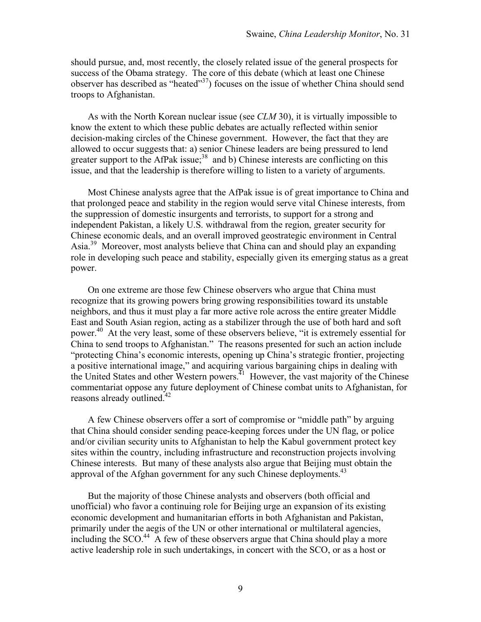should pursue, and, most recently, the closely related issue of the general prospects for success of the Obama strategy. The core of this debate (which at least one Chinese observer has described as "heated"37) focuses on the issue of whether China should send troops to Afghanistan.

As with the North Korean nuclear issue (see *CLM* 30), it is virtually impossible to know the extent to which these public debates are actually reflected within senior decision-making circles of the Chinese government. However, the fact that they are allowed to occur suggests that: a) senior Chinese leaders are being pressured to lend greater support to the AfPak issue;<sup>38</sup> and b) Chinese interests are conflicting on this issue, and that the leadership is therefore willing to listen to a variety of arguments.

Most Chinese analysts agree that the AfPak issue is of great importance to China and that prolonged peace and stability in the region would serve vital Chinese interests, from the suppression of domestic insurgents and terrorists, to support for a strong and independent Pakistan, a likely U.S. withdrawal from the region, greater security for Chinese economic deals, and an overall improved geostrategic environment in Central Asia.39 Moreover, most analysts believe that China can and should play an expanding role in developing such peace and stability, especially given its emerging status as a great power.

On one extreme are those few Chinese observers who argue that China must recognize that its growing powers bring growing responsibilities toward its unstable neighbors, and thus it must play a far more active role across the entire greater Middle East and South Asian region, acting as a stabilizer through the use of both hard and soft power.<sup>40</sup> At the very least, some of these observers believe, "it is extremely essential for China to send troops to Afghanistan." The reasons presented for such an action include "protecting China's economic interests, opening up China's strategic frontier, projecting a positive international image," and acquiring various bargaining chips in dealing with the United States and other Western powers.<sup> $41$ </sup> However, the vast majority of the Chinese commentariat oppose any future deployment of Chinese combat units to Afghanistan, for reasons already outlined.<sup>42</sup>

A few Chinese observers offer a sort of compromise or "middle path" by arguing that China should consider sending peace-keeping forces under the UN flag, or police and/or civilian security units to Afghanistan to help the Kabul government protect key sites within the country, including infrastructure and reconstruction projects involving Chinese interests. But many of these analysts also argue that Beijing must obtain the approval of the Afghan government for any such Chinese deployments.<sup>43</sup>

But the majority of those Chinese analysts and observers (both official and unofficial) who favor a continuing role for Beijing urge an expansion of its existing economic development and humanitarian efforts in both Afghanistan and Pakistan, primarily under the aegis of the UN or other international or multilateral agencies, including the  $SCO<sup>44</sup>$ . A few of these observers argue that China should play a more active leadership role in such undertakings, in concert with the SCO, or as a host or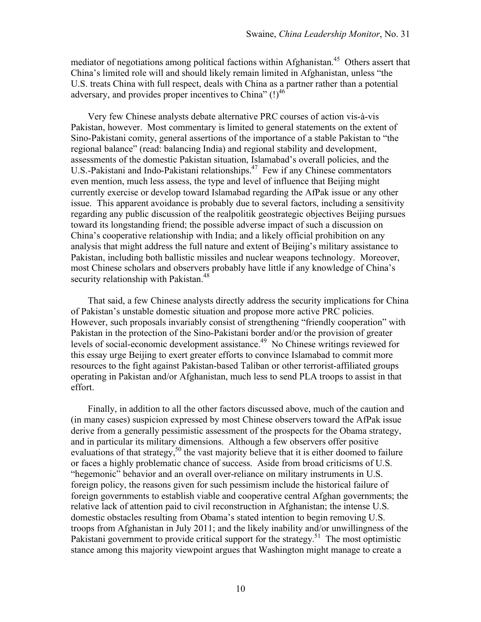mediator of negotiations among political factions within Afghanistan.<sup>45</sup> Others assert that China's limited role will and should likely remain limited in Afghanistan, unless "the U.S. treats China with full respect, deals with China as a partner rather than a potential adversary, and provides proper incentives to China"  $(!)^{46}$ 

Very few Chinese analysts debate alternative PRC courses of action vis-à-vis Pakistan, however. Most commentary is limited to general statements on the extent of Sino-Pakistani comity, general assertions of the importance of a stable Pakistan to "the regional balance" (read: balancing India) and regional stability and development, assessments of the domestic Pakistan situation, Islamabad's overall policies, and the U.S.-Pakistani and Indo-Pakistani relationships.<sup>47</sup> Few if any Chinese commentators even mention, much less assess, the type and level of influence that Beijing might currently exercise or develop toward Islamabad regarding the AfPak issue or any other issue. This apparent avoidance is probably due to several factors, including a sensitivity regarding any public discussion of the realpolitik geostrategic objectives Beijing pursues toward its longstanding friend; the possible adverse impact of such a discussion on China's cooperative relationship with India; and a likely official prohibition on any analysis that might address the full nature and extent of Beijing's military assistance to Pakistan, including both ballistic missiles and nuclear weapons technology. Moreover, most Chinese scholars and observers probably have little if any knowledge of China's security relationship with Pakistan.<sup>48</sup>

That said, a few Chinese analysts directly address the security implications for China of Pakistan's unstable domestic situation and propose more active PRC policies. However, such proposals invariably consist of strengthening "friendly cooperation" with Pakistan in the protection of the Sino-Pakistani border and/or the provision of greater levels of social-economic development assistance.<sup>49</sup> No Chinese writings reviewed for this essay urge Beijing to exert greater efforts to convince Islamabad to commit more resources to the fight against Pakistan-based Taliban or other terrorist-affiliated groups operating in Pakistan and/or Afghanistan, much less to send PLA troops to assist in that effort.

Finally, in addition to all the other factors discussed above, much of the caution and (in many cases) suspicion expressed by most Chinese observers toward the AfPak issue derive from a generally pessimistic assessment of the prospects for the Obama strategy, and in particular its military dimensions. Although a few observers offer positive evaluations of that strategy,<sup>50</sup> the vast majority believe that it is either doomed to failure or faces a highly problematic chance of success. Aside from broad criticisms of U.S. "hegemonic" behavior and an overall over-reliance on military instruments in U.S. foreign policy, the reasons given for such pessimism include the historical failure of foreign governments to establish viable and cooperative central Afghan governments; the relative lack of attention paid to civil reconstruction in Afghanistan; the intense U.S. domestic obstacles resulting from Obama's stated intention to begin removing U.S. troops from Afghanistan in July 2011; and the likely inability and/or unwillingness of the Pakistani government to provide critical support for the strategy.<sup>51</sup> The most optimistic stance among this majority viewpoint argues that Washington might manage to create a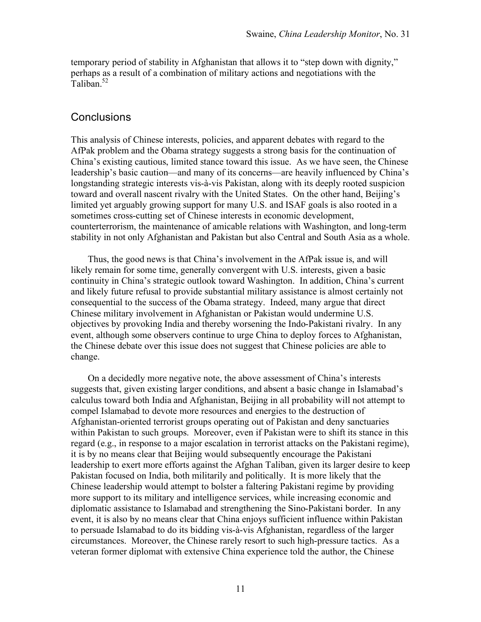temporary period of stability in Afghanistan that allows it to "step down with dignity," perhaps as a result of a combination of military actions and negotiations with the Taliban<sup>52</sup>

#### **Conclusions**

This analysis of Chinese interests, policies, and apparent debates with regard to the AfPak problem and the Obama strategy suggests a strong basis for the continuation of China's existing cautious, limited stance toward this issue. As we have seen, the Chinese leadership's basic caution—and many of its concerns—are heavily influenced by China's longstanding strategic interests vis-à-vis Pakistan, along with its deeply rooted suspicion toward and overall nascent rivalry with the United States. On the other hand, Beijing's limited yet arguably growing support for many U.S. and ISAF goals is also rooted in a sometimes cross-cutting set of Chinese interests in economic development, counterterrorism, the maintenance of amicable relations with Washington, and long-term stability in not only Afghanistan and Pakistan but also Central and South Asia as a whole.

Thus, the good news is that China's involvement in the AfPak issue is, and will likely remain for some time, generally convergent with U.S. interests, given a basic continuity in China's strategic outlook toward Washington. In addition, China's current and likely future refusal to provide substantial military assistance is almost certainly not consequential to the success of the Obama strategy. Indeed, many argue that direct Chinese military involvement in Afghanistan or Pakistan would undermine U.S. objectives by provoking India and thereby worsening the Indo-Pakistani rivalry. In any event, although some observers continue to urge China to deploy forces to Afghanistan, the Chinese debate over this issue does not suggest that Chinese policies are able to change.

On a decidedly more negative note, the above assessment of China's interests suggests that, given existing larger conditions, and absent a basic change in Islamabad's calculus toward both India and Afghanistan, Beijing in all probability will not attempt to compel Islamabad to devote more resources and energies to the destruction of Afghanistan-oriented terrorist groups operating out of Pakistan and deny sanctuaries within Pakistan to such groups. Moreover, even if Pakistan were to shift its stance in this regard (e.g., in response to a major escalation in terrorist attacks on the Pakistani regime), it is by no means clear that Beijing would subsequently encourage the Pakistani leadership to exert more efforts against the Afghan Taliban, given its larger desire to keep Pakistan focused on India, both militarily and politically. It is more likely that the Chinese leadership would attempt to bolster a faltering Pakistani regime by providing more support to its military and intelligence services, while increasing economic and diplomatic assistance to Islamabad and strengthening the Sino-Pakistani border. In any event, it is also by no means clear that China enjoys sufficient influence within Pakistan to persuade Islamabad to do its bidding vis-à-vis Afghanistan, regardless of the larger circumstances. Moreover, the Chinese rarely resort to such high-pressure tactics. As a veteran former diplomat with extensive China experience told the author, the Chinese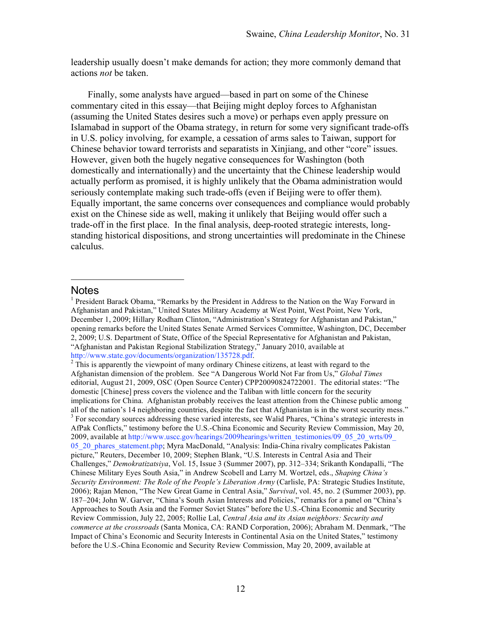leadership usually doesn't make demands for action; they more commonly demand that actions *not* be taken.

Finally, some analysts have argued—based in part on some of the Chinese commentary cited in this essay—that Beijing might deploy forces to Afghanistan (assuming the United States desires such a move) or perhaps even apply pressure on Islamabad in support of the Obama strategy, in return for some very significant trade-offs in U.S. policy involving, for example, a cessation of arms sales to Taiwan, support for Chinese behavior toward terrorists and separatists in Xinjiang, and other "core" issues. However, given both the hugely negative consequences for Washington (both domestically and internationally) and the uncertainty that the Chinese leadership would actually perform as promised, it is highly unlikely that the Obama administration would seriously contemplate making such trade-offs (even if Beijing were to offer them). Equally important, the same concerns over consequences and compliance would probably exist on the Chinese side as well, making it unlikely that Beijing would offer such a trade-off in the first place. In the final analysis, deep-rooted strategic interests, longstanding historical dispositions, and strong uncertainties will predominate in the Chinese calculus.

#### **Notes**

<u>.</u>

<sup>&</sup>lt;sup>1</sup> President Barack Obama, "Remarks by the President in Address to the Nation on the Way Forward in Afghanistan and Pakistan," United States Military Academy at West Point, West Point, New York, December 1, 2009; Hillary Rodham Clinton, "Administration's Strategy for Afghanistan and Pakistan," opening remarks before the United States Senate Armed Services Committee, Washington, DC, December 2, 2009; U.S. Department of State, Office of the Special Representative for Afghanistan and Pakistan, "Afghanistan and Pakistan Regional Stabilization Strategy," January 2010, available at

http://www.state.gov/documents/organization/135728.pdf.<br><sup>2</sup> This is apparently the viewpoint of many ordinary Chinese citizens, at least with regard to the Afghanistan dimension of the problem. See "A Dangerous World Not Far from Us," *Global Times* editorial, August 21, 2009, OSC (Open Source Center) CPP20090824722001. The editorial states: "The domestic [Chinese] press covers the violence and the Taliban with little concern for the security implications for China. Afghanistan probably receives the least attention from the Chinese public among all of the nation's 14 neighboring countries, despite the fact that Afghanistan is in the worst security mess."  $3$  For secondary sources addressing these varied interests, see Walid Phares, "China's strategic interests in AfPak Conflicts," testimony before the U.S.-China Economic and Security Review Commission, May 20, 2009, available at [http://www.uscc.gov/hearings/2009hearings/written\\_testimonies/09\\_05\\_20\\_wrts/09\\_](http://www.uscc.gov/hearings/2009hearings/written_testimonies/09_05_20_wrts/09_05_20_phares_statement.php) [05\\_20\\_phares\\_statement.php](http://www.uscc.gov/hearings/2009hearings/written_testimonies/09_05_20_wrts/09_05_20_phares_statement.php); Myra MacDonald, "Analysis: India-China rivalry complicates Pakistan picture," Reuters, December 10, 2009; Stephen Blank, "U.S. Interests in Central Asia and Their Challenges," *Demokratizatsiya*, Vol. 15, Issue 3 (Summer 2007), pp. 312–334; Srikanth Kondapalli, "The Chinese Military Eyes South Asia," in Andrew Scobell and Larry M. Wortzel, eds., *Shaping China's Security Environment: The Role of the People's Liberation Army* (Carlisle, PA: Strategic Studies Institute, 2006); Rajan Menon, "The New Great Game in Central Asia," *Survival*, vol. 45, no. 2 (Summer 2003), pp. 187–204; John W. Garver, "China's South Asian Interests and Policies," remarks for a panel on "China's Approaches to South Asia and the Former Soviet States" before the U.S.-China Economic and Security Review Commission, July 22, 2005; Rollie Lal, *Central Asia and its Asian neighbors: Security and commerce at the crossroads* (Santa Monica, CA: RAND Corporation, 2006); Abraham M. Denmark, "The Impact of China's Economic and Security Interests in Continental Asia on the United States," testimony before the U.S.-China Economic and Security Review Commission, May 20, 2009, available at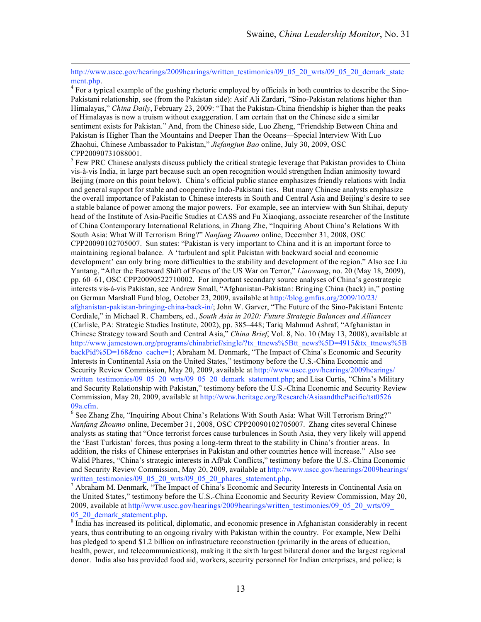http://www.uscc.gov/hearings/2009hearings/written\_testimonies/09\_05\_20\_wrts/09\_05\_20\_demark\_state

ment.php.<br><sup>4</sup> For a typical example of the gushing rhetoric employed by officials in both countries to describe the Sino-Pakistani relationship, see (from the Pakistan side): Asif Ali Zardari, "Sino-Pakistan relations higher than Himalayas," *China Daily*, February 23, 2009: "That the Pakistan-China friendship is higher than the peaks of Himalayas is now a truism without exaggeration. I am certain that on the Chinese side a similar sentiment exists for Pakistan." And, from the Chinese side, Luo Zheng, "Friendship Between China and Pakistan is Higher Than the Mountains and Deeper Than the Oceans—Special Interview With Luo Zhaohui, Chinese Ambassador to Pakistan," *Jiefangjun Bao* online, July 30, 2009, OSC CPP20090731088001.

 $\frac{5}{5}$  Few PRC Chinese analysts discuss publicly the critical strategic leverage that Pakistan provides to China vis-à-vis India, in large part because such an open recognition would strengthen Indian animosity toward Beijing (more on this point below). China's official public stance emphasizes friendly relations with India and general support for stable and cooperative Indo-Pakistani ties. But many Chinese analysts emphasize the overall importance of Pakistan to Chinese interests in South and Central Asia and Beijing's desire to see a stable balance of power among the major powers. For example, see an interview with Sun Shihai, deputy head of the Institute of Asia-Pacific Studies at CASS and Fu Xiaoqiang, associate researcher of the Institute of China Contemporary International Relations, in Zhang Zhe, "Inquiring About China's Relations With South Asia: What Will Terrorism Bring?" *Nanfang Zhoumo* online, December 31, 2008, OSC CPP20090102705007. Sun states: "Pakistan is very important to China and it is an important force to maintaining regional balance. A 'turbulent and split Pakistan with backward social and economic development' can only bring more difficulties to the stability and development of the region." Also see Liu Yantang, "After the Eastward Shift of Focus of the US War on Terror," *Liaowang*, no. 20 (May 18, 2009), pp. 60–61, OSC CPP20090522710002. For important secondary source analyses of China's geostrategic interests vis-à-vis Pakistan, see Andrew Small, "Afghanistan-Pakistan: Bringing China (back) in," posting on German Marshall Fund blog, October 23, 2009, available at [http://blog.gmfus.org/2009/10/23/](http://blog.gmfus.org/2009/10/23/afghanistan-pakistan-bringing-china-back-in/) [afghanistan-pakistan-bringing-china-back-in/](http://blog.gmfus.org/2009/10/23/afghanistan-pakistan-bringing-china-back-in/); John W. Garver, "The Future of the Sino-Pakistani Entente Cordiale," in Michael R. Chambers, ed., *South Asia in 2020: Future Strategic Balances and Alliances* (Carlisle, PA: Strategic Studies Institute, 2002), pp. 385–448; Tariq Mahmud Ashraf, "Afghanistan in Chinese Strategy toward South and Central Asia," *China Brief*, Vol. 8, No. 10 (May 13, 2008), available at [http://www.jamestown.org/programs/chinabrief/single/?tx\\_ttnews%5Btt\\_news%5D=4915&tx\\_ttnews%5B](http://www.jamestown.org/programs/chinabrief/single/?tx_ttnews%5Btt_news%5D=4915&tx_ttnews%5BbackPid%5D=168&no_cache=1) [backPid%5D=168&no\\_cache=1](http://www.jamestown.org/programs/chinabrief/single/?tx_ttnews%5Btt_news%5D=4915&tx_ttnews%5BbackPid%5D=168&no_cache=1); Abraham M. Denmark, "The Impact of China's Economic and Security Interests in Continental Asia on the United States," testimony before the U.S.-China Economic and Security Review Commission, May 20, 2009, available at [http://www.uscc.gov/hearings/2009hearings/](http://www.uscc.gov/hearings/2009hearings/written_testimonies/09_05_20_wrts/09_05_20_demark_statement.php) written testimonies/09\_05\_20\_wrts/09\_05\_20\_demark\_statement.php; and Lisa Curtis, "China's Military and Security Relationship with Pakistan," testimony before the U.S.-China Economic and Security Review Commission, May 20, 2009, available at [http://www.heritage.org/Research/AsiaandthePacific/tst0526](http://www.heritage.org/Research/AsiaandthePacific/tst052609a.cfm)  $09a.c$ fm.

 $<sup>6</sup>$  See Zhang Zhe, "Inquiring About China's Relations With South Asia: What Will Terrorism Bring?"</sup> *Nanfang Zhoumo* online, December 31, 2008, OSC CPP20090102705007. Zhang cites several Chinese analysts as stating that "Once terrorist forces cause turbulences in South Asia, they very likely will append the 'East Turkistan' forces, thus posing a long-term threat to the stability in China's frontier areas. In addition, the risks of Chinese enterprises in Pakistan and other countries hence will increase." Also see Walid Phares, "China's strategic interests in AfPak Conflicts," testimony before the U.S.-China Economic and Security Review Commission, May 20, 2009, available at [http://www.uscc.gov/hearings/2009hearings/](http://www.uscc.gov/hearings/2009hearings/written_testimonies/09_05_20_wrts/09_05_20_phares_statement.php)<br>written testimonies/09 05 20 wrts/09 05 20 phares statement.php.

 $\frac{7}{1}$  Abraham M. Denmark, "The Impact of China's Economic and Security Interests in Continental Asia on the United States," testimony before the U.S.-China Economic and Security Review Commission, May 20, 2009, available at [http//www.uscc.gov/hearings/2009hearings/written\\_testimonies/09\\_05\\_20\\_wrts/09\\_](http://www.uscc.gov/hearings/2009hearings/written_testimonies/09_05_20_wrts/09_05_20_demark_statement.php) [05\\_20\\_demark\\_statement.php.](http://www.uscc.gov/hearings/2009hearings/written_testimonies/09_05_20_wrts/09_05_20_demark_statement.php) [8](http://www.uscc.gov/hearings/2009hearings/written_testimonies/09_05_20_wrts/09_05_20_demark_statement.php) India has increased its political, diplomatic, and economic presence in Afghanistan considerably in recent

years, thus contributing to an ongoing rivalry with Pakistan within the country. For example, New Delhi has pledged to spend \$1.2 billion on infrastructure reconstruction (primarily in the areas of education, health, power, and telecommunications), making it the sixth largest bilateral donor and the largest regional donor. India also has provided food aid, workers, security personnel for Indian enterprises, and police; is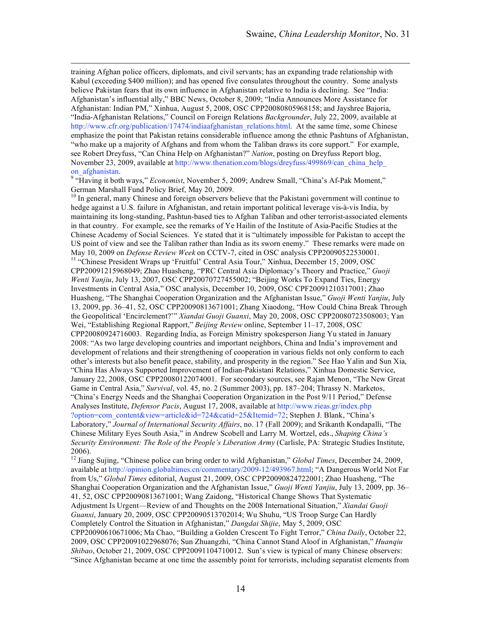training Afghan police officers, diplomats, and civil servants; has an expanding trade relationship with Kabul (exceeding \$400 million); and has opened five consulates throughout the country. Some analysts believe Pakistan fears that its own influence in Afghanistan relative to India is declining. See "India: Afghanistan's influential ally," BBC News, October 8, 2009; "India Announces More Assistance for Afghanistan: Indian PM," Xinhua, August 5, 2008, OSC CPP20080805968158; and Jayshree Bajoria, "India-Afghanistan Relations," Council on Foreign Relations *Backgrounder*, July 22, 2009, available at http://www.cfr.org/publication/17474/indiaafghanistan\_relations.html. At the same time, some Chinese emphasize the point that Pakistan retains considerable influence among the ethnic Pashtuns of Afghanistan, "who make up a majority of Afghans and from whom the Taliban draws its core support." For example, see Robert Dreyfuss, "Can China Help on Afghanistan?" *Nation*, posting on Dreyfuss Report blog, November 23, 2009, available at http://www.thenation.com/blogs/dreyfuss/499869/can\_china\_help on\_afghanistan. <sup>9</sup> "Having it both ways," *Economist*, November 5, 2009; Andrew Small, "China's Af-Pak Moment,"

German Marshall Fund Policy Brief, May 20, 2009.

<sup>10</sup> In general, many Chinese and foreign observers believe that the Pakistani government will continue to hedge against a U.S. failure in Afghanistan, and retain important political leverage vis-à-vis India, by maintaining its long-standing, Pashtun-based ties to Afghan Taliban and other terrorist-associated elements in that country. For example, see the remarks of Ye Hailin of the Institute of Asia-Pacific Studies at the Chinese Academy of Social Sciences. Ye stated that it is "ultimately impossible for Pakistan to accept the US point of view and see the Taliban rather than India as its sworn enemy." These remarks were made on May 10, 2009 on *Defense Review Week* on CCTV-7, cited in OSC analysis CPP20090522530001. <sup>11</sup> "Chinese President Wraps up 'Fruitful' Central Asia Tour," Xinhua, December 15, 2009, OSC CPP20091215968049; Zhao Huasheng, "PRC Central Asia Diplomacy's Theory and Practice," *Guoji Wenti Yanjiu*, July 13, 2007, OSC CPP20070727455002; "Beijing Works To Expand Ties, Energy Investments in Central Asia," OSC analysis, December 10, 2009, OSC CPF20091210317001; Zhao Huasheng, "The Shanghai Cooperation Organization and the Afghanistan Issue," *Guoji Wenti Yanjiu*, July 13, 2009, pp. 36–41, 52, OSC CPP20090813671001; Zhang Xiaodong, "How Could China Break Through the Geopolitical 'Encirclement?'" *Xiandai Guoji Guanxi*, May 20, 2008, OSC CPP20080723508003; Yan Wei, "Establishing Regional Rapport," *Beijing Review* online, September 11–17, 2008, OSC CPP20080924716003. Regarding India, as Foreign Ministry spokesperson Jiang Yu stated in January 2008: "As two large developing countries and important neighbors, China and India's improvement and development of relations and their strengthening of cooperation in various fields not only conform to each other's interests but also benefit peace, stability, and prosperity in the region." See Hao Yalin and Sun Xia, "China Has Always Supported Improvement of Indian-Pakistani Relations," Xinhua Domestic Service, January 22, 2008, OSC CPP20080122074001. For secondary sources, see Rajan Menon, "The New Great Game in Central Asia," *Survival*, vol. 45, no. 2 (Summer 2003), pp. 187–204; Thrassy N. Marketos, "China's Energy Needs and the Shanghai Cooperation Organization in the Post 9/11 Period," Defense Analyses Institute, *Defensor Pacis*, August 17, 2008, available at [http://www.rieas.gr/index.php](http://www.rieas.gr/index.php?option=com_content&view=article&id=724&catid=25&Itemid=72) [?option=com\\_content&view=article&id=724&catid=25&Itemid=72;](http://www.rieas.gr/index.php?option=com_content&view=article&id=724&catid=25&Itemid=72) Stephen J. Blank, "China's Laboratory," *Journal of International Security Affairs*, no. 17 (Fall 2009); and Srikanth Kondapalli, "The Chinese Military Eyes South Asia," in Andrew Scobell and Larry M. Wortzel, eds., *Shaping China's Security Environment: The Role of the People's Liberation Army* (Carlisle, PA: Strategic Studies Institute, 2006).

<sup>12</sup> Jiang Sujing, "Chinese police can bring order to wild Afghanistan," *Global Times*, December 24, 2009, available at http://opinion.globaltimes.cn/commentary/2009-12/493967.html; "A Dangerous World Not Far from Us," *Global Times* editorial, August 21, 2009, OSC CPP20090824722001; Zhao Huasheng, "The Shanghai Cooperation Organization and the Afghanistan Issue," *Guoji Wenti Yanjiu*, July 13, 2009, pp. 36– 41, 52, OSC CPP20090813671001; Wang Zaidong, "Historical Change Shows That Systematic Adjustment Is Urgent—Review of and Thoughts on the 2008 International Situation," *Xiandai Guoji Guanxi*, January 20, 2009, OSC CPP20090513702014; Wu Shuhu, "US Troop Surge Can Hardly Completely Control the Situation in Afghanistan," *Dangdai Shijie*, May 5, 2009, OSC CPP20090610671006; Ma Chao, "Building a Golden Crescent To Fight Terror," *China Daily*, October 22, 2009, OSC CPP20091022968076; Sun Zhuangzhi, "China Cannot Stand Aloof in Afghanistan," *Huanqiu Shibao*, October 21, 2009, OSC CPP20091104710012. Sun's view is typical of many Chinese observers: "Since Afghanistan became at one time the assembly point for terrorists, including separatist elements from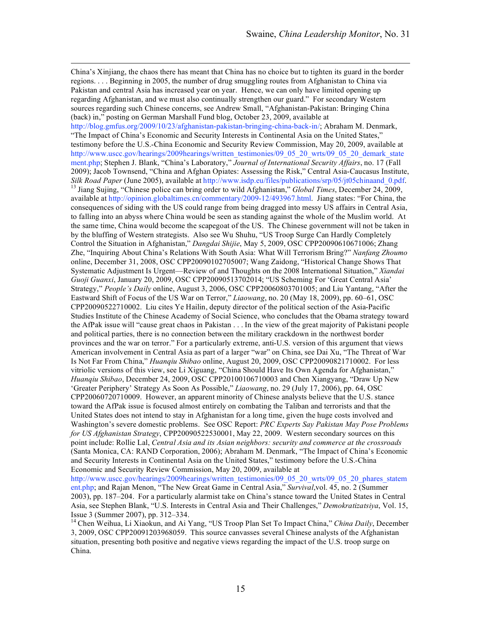China's Xinjiang, the chaos there has meant that China has no choice but to tighten its guard in the border regions. . . . Beginning in 2005, the number of drug smuggling routes from Afghanistan to China via Pakistan and central Asia has increased year on year. Hence, we can only have limited opening up regarding Afghanistan, and we must also continually strengthen our guard." For secondary Western sources regarding such Chinese concerns, see Andrew Small, "Afghanistan-Pakistan: Bringing China (back) in," posting on German Marshall Fund blog, October 23, 2009, available at http://blog.gmfus.org/2009/10/23/afghanistan-pakistan-bringing-china-back-in/; Abraham M. Denmark, "The Impact of China's Economic and Security Interests in Continental Asia on the United States," testimony before the U.S.-China Economic and Security Review Commission, May 20, 2009, available at [http://www.uscc.gov/hearings/2009hearings/written\\_testimonies/09\\_05\\_20\\_wrts/09\\_05\\_20\\_demark\\_state](http://www.uscc.gov/hearings/2009hearings/written_testimonies/09_05_20_wrts/09_05_20_demark_statement.php) [ment.php;](http://www.uscc.gov/hearings/2009hearings/written_testimonies/09_05_20_wrts/09_05_20_demark_statement.php) Stephen J. Blank, "China's Laboratory," *Journal of International Security Affairs*, no. 17 (Fall 2009); Jacob Townsend, "China and Afghan Opiates: Assessing the Risk," Central Asia-Caucasus Institute, *Silk Road Paper* (June 2005), available at http://www.isdp.eu/files/publications/srp/05/jt05chinaand\_0.pdf. <sup>13</sup> Jiang Sujing, "Chinese police can bring order to wild Afghanistan," *Global Times*, December 24, 2009, available at http://opinion.globaltimes.cn/commentary/2009-12/493967.html. Jiang states: "For China, the consequences of siding with the US could range from being dragged into messy US affairs in Central Asia, to falling into an abyss where China would be seen as standing against the whole of the Muslim world. At the same time, China would become the scapegoat of the US. The Chinese government will not be taken in by the bluffing of Western strategists. Also see Wu Shuhu, "US Troop Surge Can Hardly Completely Control the Situation in Afghanistan," *Dangdai Shijie*, May 5, 2009, OSC CPP20090610671006; Zhang Zhe, "Inquiring About China's Relations With South Asia: What Will Terrorism Bring?" *Nanfang Zhoumo* online, December 31, 2008, OSC CPP20090102705007; Wang Zaidong, "Historical Change Shows That Systematic Adjustment Is Urgent—Review of and Thoughts on the 2008 International Situation," *Xiandai Guoji Guanxi*, January 20, 2009, OSC CPP20090513702014; "US Scheming For 'Great Central Asia' Strategy," *People's Daily* online, August 3, 2006, OSC CPP20060803701005; and Liu Yantang, "After the Eastward Shift of Focus of the US War on Terror," *Liaowang*, no. 20 (May 18, 2009), pp. 60–61, OSC CPP20090522710002. Liu cites Ye Hailin, deputy director of the political section of the Asia-Pacific Studies Institute of the Chinese Academy of Social Science, who concludes that the Obama strategy toward the AfPak issue will "cause great chaos in Pakistan . . . In the view of the great majority of Pakistani people and political parties, there is no connection between the military crackdown in the northwest border provinces and the war on terror." For a particularly extreme, anti-U.S. version of this argument that views American involvement in Central Asia as part of a larger "war" on China, see Dai Xu, "The Threat of War Is Not Far From China," *Huanqiu Shibao* online, August 20, 2009, OSC CPP20090821710002. For less vitriolic versions of this view, see Li Xiguang, "China Should Have Its Own Agenda for Afghanistan," *Huanqiu Shibao*, December 24, 2009, OSC CPP20100106710003 and Chen Xiangyang, "Draw Up New 'Greater Periphery' Strategy As Soon As Possible," *Liaowang*, no. 29 (July 17, 2006), pp. 64, OSC CPP20060720710009. However, an apparent minority of Chinese analysts believe that the U.S. stance toward the AfPak issue is focused almost entirely on combating the Taliban and terrorists and that the United States does not intend to stay in Afghanistan for a long time, given the huge costs involved and Washington's severe domestic problems. See OSC Report: *PRC Experts Say Pakistan May Pose Problems for US Afghanistan Strategy*, CPP20090522530001, May 22, 2009. Western secondary sources on this point include: Rollie Lal, *Central Asia and its Asian neighbors: security and commerce at the crossroads* (Santa Monica, CA: RAND Corporation, 2006); Abraham M. Denmark, "The Impact of China's Economic and Security Interests in Continental Asia on the United States," testimony before the U.S.-China Economic and Security Review Commission, May 20, 2009, available at [http://www.uscc.gov/hearings/2009hearings/written\\_testimonies/09\\_05\\_20\\_wrts/09\\_05\\_20\\_phares\\_statem](http://www.uscc.gov/hearings/2009hearings/written_testimonies/09_05_20_wrts/09_05_20_phares_statement.php)

[ent.php](http://www.uscc.gov/hearings/2009hearings/written_testimonies/09_05_20_wrts/09_05_20_phares_statement.php); and Rajan Menon, "The New Great Game in Central Asia," *Survival*,vol. 45, no. 2 (Summer 2003), pp. 187–204. For a particularly alarmist take on China's stance toward the United States in Central Asia, see Stephen Blank, "U.S. Interests in Central Asia and Their Challenges," *Demokratizatsiya*, Vol. 15, Issue 3 (Summer 2007), pp. 312–334. 14 Chen Weihua, Li Xiaokun, and Ai Yang, "US Troop Plan Set To Impact China," *China Daily*, December

3, 2009, OSC CPP20091203968059. This source canvasses several Chinese analysts of the Afghanistan situation, presenting both positive and negative views regarding the impact of the U.S. troop surge on China.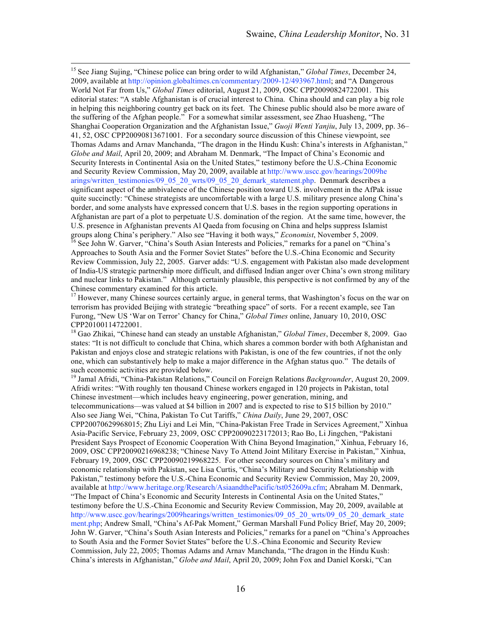<sup>15</sup> See Jiang Sujing, "Chinese police can bring order to wild Afghanistan," *Global Times*, December 24, 2009, available at http://opinion.globaltimes.cn/commentary/2009-12/493967.html; and "A Dangerous World Not Far from Us," *Global Times* editorial, August 21, 2009, OSC CPP20090824722001. This editorial states: "A stable Afghanistan is of crucial interest to China. China should and can play a big role in helping this neighboring country get back on its feet. The Chinese public should also be more aware of the suffering of the Afghan people." For a somewhat similar assessment, see Zhao Huasheng, "The Shanghai Cooperation Organization and the Afghanistan Issue," *Guoji Wenti Yanjiu*, July 13, 2009, pp. 36– 41, 52, OSC CPP20090813671001. For a secondary source discussion of this Chinese viewpoint, see Thomas Adams and Arnav Manchanda, "The dragon in the Hindu Kush: China's interests in Afghanistan," *Globe and Mail*, April 20, 2009; and Abraham M. Denmark, "The Impact of China's Economic and Security Interests in Continental Asia on the United States," testimony before the U.S.-China Economic and Security Review Commission, May 20, 2009, available at [http://www.uscc.gov/hearings/2009he](http://www.uscc.gov/hearings/2009hearings/written_testimonies/09_05_20_wrts/09_05_20_demark_statement.php) [arings/written\\_testimonies/09\\_05\\_20\\_wrts/09\\_05\\_20\\_demark\\_statement.php.](http://www.uscc.gov/hearings/2009hearings/written_testimonies/09_05_20_wrts/09_05_20_demark_statement.php) Denmark describes a significant aspect of the ambivalence of the Chinese position toward U.S. involvement in the AfPak issue quite succinctly: "Chinese strategists are uncomfortable with a large U.S. military presence along China's border, and some analysts have expressed concern that U.S. bases in the region supporting operations in Afghanistan are part of a plot to perpetuate U.S. domination of the region. At the same time, however, the U.S. presence in Afghanistan prevents Al Qaeda from focusing on China and helps suppress Islamist groups along China's periphery." Also see "Having it both ways," *Economist*, November 5, 2009.<br><sup>16</sup> See John W. Garver, "China's South Asian Interests and Policies," remarks for a panel on "China's

Approaches to South Asia and the Former Soviet States" before the U.S.-China Economic and Security Review Commission, July 22, 2005. Garver adds: "U.S. engagement with Pakistan also made development of India-US strategic partnership more difficult, and diffused Indian anger over China's own strong military and nuclear links to Pakistan." Although certainly plausible, this perspective is not confirmed by any of the Chinese commentary examined for this article.

<sup>17</sup> However, many Chinese sources certainly argue, in general terms, that Washington's focus on the war on terrorism has provided Beijing with strategic "breathing space" of sorts. For a recent example, see Tan Furong, "New US 'War on Terror' Chancy for China," *Global Times* online, January 10, 2010, OSC CPP20100114722001.

<sup>18</sup> Gao Zhikai, "Chinese hand can steady an unstable Afghanistan," *Global Times*, December 8, 2009. Gao states: "It is not difficult to conclude that China, which shares a common border with both Afghanistan and Pakistan and enjoys close and strategic relations with Pakistan, is one of the few countries, if not the only one, which can substantively help to make a major difference in the Afghan status quo." The details of

<sup>19</sup> Jamal Afridi, "China-Pakistan Relations," Council on Foreign Relations *Backgrounder*, August 20, 2009. Afridi writes: "With roughly ten thousand Chinese workers engaged in 120 projects in Pakistan, total Chinese investment—which includes heavy engineering, power generation, mining, and telecommunications—was valued at \$4 billion in 2007 and is expected to rise to \$15 billion by 2010." Also see Jiang Wei, "China, Pakistan To Cut Tariffs," *China Daily*, June 29, 2007, OSC CPP20070629968015; Zhu Liyi and Lei Min, "China-Pakistan Free Trade in Services Agreement," Xinhua Asia-Pacific Service, February 23, 2009, OSC CPP20090223172013; Rao Bo, Li Jingchen, "Pakistani President Says Prospect of Economic Cooperation With China Beyond Imagination," Xinhua, February 16, 2009, OSC CPP20090216968238; "Chinese Navy To Attend Joint Military Exercise in Pakistan," Xinhua, February 19, 2009, OSC CPP20090219968225. For other secondary sources on China's military and economic relationship with Pakistan, see Lisa Curtis, "China's Military and Security Relationship with Pakistan," testimony before the U.S.-China Economic and Security Review Commission, May 20, 2009, available at http://www.heritage.org/Research/AsiaandthePacific/tst052609a.cfm; Abraham M. Denmark, "The Impact of China's Economic and Security Interests in Continental Asia on the United States," testimony before the U.S.-China Economic and Security Review Commission, May 20, 2009, available at [http://www.uscc.gov/hearings/2009hearings/written\\_testimonies/09\\_05\\_20\\_wrts/09\\_05\\_20\\_demark\\_state](http://www.uscc.gov/hearings/2009hearings/written_testimonies/09_05_20_wrts/09_05_20_demark_statement.php) [ment.php;](http://www.uscc.gov/hearings/2009hearings/written_testimonies/09_05_20_wrts/09_05_20_demark_statement.php) Andrew Small, "China's Af-Pak Moment," German Marshall Fund Policy Brief, May 20, 2009; John W. Garver, "China's South Asian Interests and Policies," remarks for a panel on "China's Approaches to South Asia and the Former Soviet States" before the U.S.-China Economic and Security Review Commission, July 22, 2005; Thomas Adams and Arnav Manchanda, "The dragon in the Hindu Kush: China's interests in Afghanistan," *Globe and Mail*, April 20, 2009; John Fox and Daniel Korski, "Can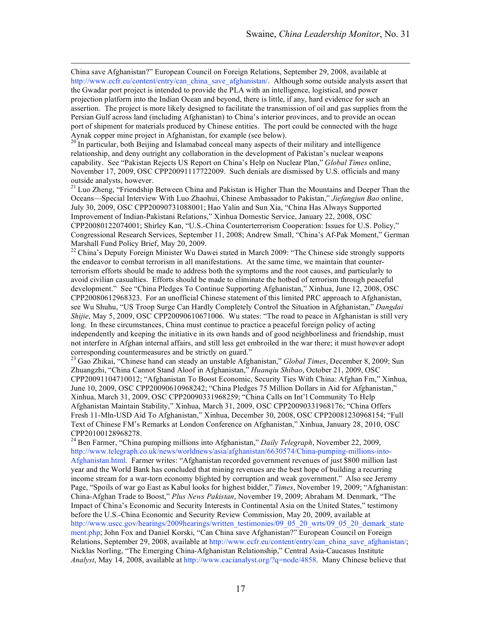China save Afghanistan?" European Council on Foreign Relations, September 29, 2008, available at http://www.ecfr.eu/content/entry/can\_china\_save\_afghanistan/. Although some outside analysts assert that the Gwadar port project is intended to provide the PLA with an intelligence, logistical, and power projection platform into the Indian Ocean and beyond, there is little, if any, hard evidence for such an assertion. The project is more likely designed to facilitate the transmission of oil and gas supplies from the Persian Gulf across land (including Afghanistan) to China's interior provinces, and to provide an ocean port of shipment for materials produced by Chinese entities. The port could be connected with the huge

Aynak copper mine project in Afghanistan, for example (see below).<br><sup>20</sup> In particular, both Beijing and Islamabad conceal many aspects of their military and intelligence relationship, and deny outright any collaboration in the development of Pakistan's nuclear weapons capability. See "Pakistan Rejects US Report on China's Help on Nuclear Plan," *Global Times* online, November 17, 2009, OSC CPP20091117722009. Such denials are dismissed by U.S. officials and many outside analysts, however.

 $21$  Luo Zheng, "Friendship Between China and Pakistan is Higher Than the Mountains and Deeper Than the Oceans—Special Interview With Luo Zhaohui, Chinese Ambassador to Pakistan," *Jiefangjun Bao* online, July 30, 2009, OSC CPP20090731088001; Hao Yalin and Sun Xia, "China Has Always Supported Improvement of Indian-Pakistani Relations," Xinhua Domestic Service, January 22, 2008, OSC CPP20080122074001; Shirley Kan, "U.S.-China Counterterrorism Cooperation: Issues for U.S. Policy," Congressional Research Services, September 11, 2008; Andrew Small, "China's Af-Pak Moment," German Marshall Fund Policy Brief, May 20, 2009.

<sup>22</sup> China's Deputy Foreign Minister Wu Dawei stated in March 2009: "The Chinese side strongly supports the endeavor to combat terrorism in all manifestations. At the same time, we maintain that counterterrorism efforts should be made to address both the symptoms and the root causes, and particularly to avoid civilian casualties. Efforts should be made to eliminate the hotbed of terrorism through peaceful development." See "China Pledges To Continue Supporting Afghanistan," Xinhua, June 12, 2008, OSC CPP20080612968323. For an unofficial Chinese statement of this limited PRC approach to Afghanistan, see Wu Shuhu, "US Troop Surge Can Hardly Completely Control the Situation in Afghanistan," *Dangdai Shijie*, May 5, 2009, OSC CPP20090610671006. Wu states: "The road to peace in Afghanistan is still very long. In these circumstances, China must continue to practice a peaceful foreign policy of acting independently and keeping the initiative in its own hands and of good neighborliness and friendship, must not interfere in Afghan internal affairs, and still less get embroiled in the war there; it must however adopt corresponding countermeasures and be strictly on guard." <sup>23</sup> Gao Zhikai, "Chinese hand can steady an unstable Afghanistan," *Global Times*, December 8, 2009; Sun

Zhuangzhi, "China Cannot Stand Aloof in Afghanistan," *Huanqiu Shibao*, October 21, 2009, OSC CPP20091104710012; "Afghanistan To Boost Economic, Security Ties With China: Afghan Fm," Xinhua, June 10, 2009, OSC CPP20090610968242; "China Pledges 75 Million Dollars in Aid for Afghanistan," Xinhua, March 31, 2009, OSC CPP20090331968259; "China Calls on Int'l Community To Help Afghanistan Maintain Stability," Xinhua, March 31, 2009, OSC CPP20090331968176; "China Offers Fresh 11-Mln-USD Aid To Afghanistan," Xinhua, December 30, 2008, OSC CPP20081230968154; "Full Text of Chinese FM's Remarks at London Conference on Afghanistan," Xinhua, January 28, 2010, OSC

CPP20100128968278. <sup>24</sup> Ben Farmer, "China pumping millions into Afghanistan," *Daily Telegraph*, November 22, 2009, http://www.telegraph.co.uk/news/worldnews/asia/afghanistan/6630574/China-pumping-millions-into-Afghanistan.html. Farmer writes: "Afghanistan recorded government revenues of just \$800 million last year and the World Bank has concluded that mining revenues are the best hope of building a recurring income stream for a war-torn economy blighted by corruption and weak government." Also see Jeremy Page, "Spoils of war go East as Kabul looks for highest bidder," *Times*, November 19, 2009; "Afghanistan: China-Afghan Trade to Boost," *Plus News Pakistan*, November 19, 2009; Abraham M. Denmark, "The Impact of China's Economic and Security Interests in Continental Asia on the United States," testimony before the U.S.-China Economic and Security Review Commission, May 20, 2009, available at [http://www.uscc.gov/hearings/2009hearings/written\\_testimonies/09\\_05\\_20\\_wrts/09\\_05\\_20\\_demark\\_state](http://www.uscc.gov/hearings/2009hearings/written_testimonies/09_05_20_wrts/09_05_20_demark_statement.php) [ment.php;](http://www.uscc.gov/hearings/2009hearings/written_testimonies/09_05_20_wrts/09_05_20_demark_statement.php) John Fox and Daniel Korski, "Can China save Afghanistan?" European Council on Foreign Relations, September 29, 2008, available at http://www.ecfr.eu/content/entry/can\_china\_save\_afghanistan/; Nicklas Norling, "The Emerging China-Afghanistan Relationship," Central Asia-Caucasus Institute *Analyst*, May 14, 2008, available at http://www.cacianalyst.org/?q=node/4858. Many Chinese believe that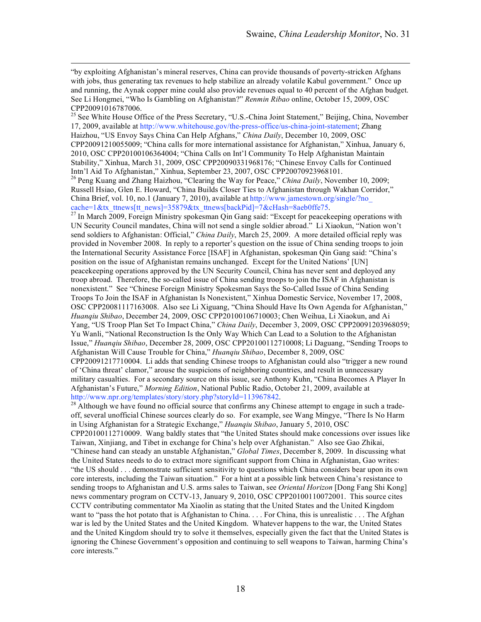"by exploiting Afghanistan's mineral reserves, China can provide thousands of poverty-stricken Afghans with jobs, thus generating tax revenues to help stabilize an already volatile Kabul government." Once up and running, the Aynak copper mine could also provide revenues equal to 40 percent of the Afghan budget. See Li Hongmei, "Who Is Gambling on Afghanistan?" *Renmin Ribao* online, October 15, 2009, OSC CPP20091016787006.

<sup>25</sup> See White House Office of the Press Secretary, "U.S.-China Joint Statement," Beijing, China, November 17, 2009, available at http://www.whitehouse.gov/the-press-office/us-china-joint-statement; Zhang Haizhou, "US Envoy Says China Can Help Afghans," *China Daily*, December 10, 2009, OSC CPP20091210055009; "China calls for more international assistance for Afghanistan," Xinhua, January 6, 2010, OSC CPP20100106364004; "China Calls on Int'l Community To Help Afghanistan Maintain Stability," Xinhua, March 31, 2009, OSC CPP20090331968176; "Chinese Envoy Calls for Continued

Intn'l Aid To Afghanistan," Xinhua, September 23, 2007, OSC CPP20070923968101. <sup>26</sup> Peng Kuang and Zhang Haizhou, "Clearing the Way for Peace," *China Daily*, November 10, 2009; Russell Hsiao, Glen E. Howard, "China Builds Closer Ties to Afghanistan through Wakhan Corridor," China Brief, vol. 10, no.1 (January 7, 2010), available a[t http://www.jamestown.org/single/?no\\_](http://www.jamestown.org/single/?no_cache=1&tx_ttnews[tt_news]=35879&tx_ttnews[backPid]=7&cHash=8aeb0ffe75)

[cache=1&tx\\_ttnews\[tt\\_news\]=35879&tx\\_ttnews\[backPid\]=7&cHash=8aeb0ffe75.](http://www.jamestown.org/single/?no_cache=1&tx_ttnews[tt_news]=35879&tx_ttnews[backPid]=7&cHash=8aeb0ffe75) <sup>27</sup> In March 2009, Foreign Ministry spokesman Qin Gang said: "Except for peacekeeping operations with UN Security Council mandates, China will not send a single soldier abroad." Li Xiaokun, "Nation won't send soldiers to Afghanistan: Official," *China Daily*, March 25, 2009. A more detailed official reply was provided in November 2008. In reply to a reporter's question on the issue of China sending troops to join the International Security Assistance Force [ISAF] in Afghanistan, spokesman Qin Gang said: "China's position on the issue of Afghanistan remains unchanged. Except for the United Nations' [UN] peacekeeping operations approved by the UN Security Council, China has never sent and deployed any troop abroad. Therefore, the so-called issue of China sending troops to join the ISAF in Afghanistan is nonexistent." See "Chinese Foreign Ministry Spokesman Says the So-Called Issue of China Sending Troops To Join the ISAF in Afghanistan Is Nonexistent," Xinhua Domestic Service, November 17, 2008, OSC CPP20081117163008. Also see Li Xiguang, "China Should Have Its Own Agenda for Afghanistan," *Huanqiu Shibao*, December 24, 2009, OSC CPP20100106710003; Chen Weihua, Li Xiaokun, and Ai Yang, "US Troop Plan Set To Impact China," *China Daily*, December 3, 2009, OSC CPP20091203968059; Yu Wanli, "National Reconstruction Is the Only Way Which Can Lead to a Solution to the Afghanistan Issue," *Huanqiu Shibao*, December 28, 2009, OSC CPP20100112710008; Li Daguang, "Sending Troops to Afghanistan Will Cause Trouble for China," *Huanqiu Shibao*, December 8, 2009, OSC CPP20091217710004. Li adds that sending Chinese troops to Afghanistan could also "trigger a new round of 'China threat' clamor," arouse the suspicions of neighboring countries, and result in unnecessary military casualties. For a secondary source on this issue, see Anthony Kuhn, "China Becomes A Player In

Afghanistan's Future," *Morning Edition*, National Public Radio, October 21, 2009, available at http://www.npr.org/templates/story/story.php?storyId=113967842.<br><sup>28</sup> Although we have found no official source that confirms any Chinese attempt to engage in such a trade-

off, several unofficial Chinese sources clearly do so. For example, see Wang Mingye, "There Is No Harm in Using Afghanistan for a Strategic Exchange," *Huanqiu Shibao*, January 5, 2010, OSC

CPP20100112710009. Wang baldly states that "the United States should make concessions over issues like Taiwan, Xinjiang, and Tibet in exchange for China's help over Afghanistan." Also see Gao Zhikai, "Chinese hand can steady an unstable Afghanistan," *Global Times*, December 8, 2009. In discussing what the United States needs to do to extract more significant support from China in Afghanistan, Gao writes: "the US should . . . demonstrate sufficient sensitivity to questions which China considers bear upon its own core interests, including the Taiwan situation." For a hint at a possible link between China's resistance to sending troops to Afghanistan and U.S. arms sales to Taiwan, see *Oriental Horizon* [Dong Fang Shi Kong] news commentary program on CCTV-13, January 9, 2010, OSC CPP20100110072001. This source cites CCTV contributing commentator Ma Xiaolin as stating that the United States and the United Kingdom want to "pass the hot potato that is Afghanistan to China. . . . For China, this is unrealistic . . . The Afghan war is led by the United States and the United Kingdom. Whatever happens to the war, the United States and the United Kingdom should try to solve it themselves, especially given the fact that the United States is ignoring the Chinese Government's opposition and continuing to sell weapons to Taiwan, harming China's core interests."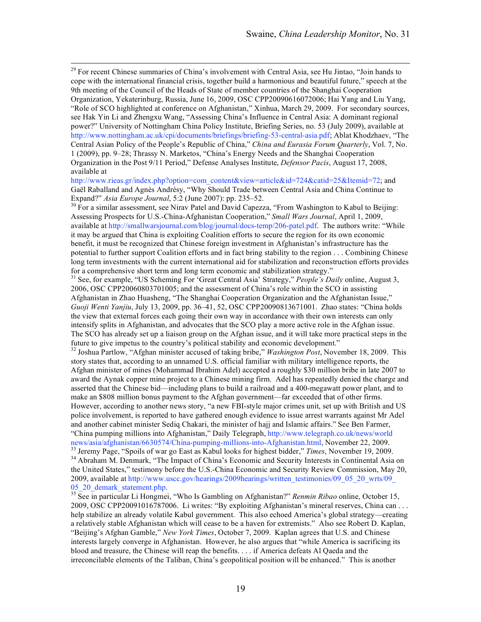<sup>29</sup> For recent Chinese summaries of China's involvement with Central Asia, see Hu Jintao, "Join hands to cope with the international financial crisis, together build a harmonious and beautiful future," speech at the 9th meeting of the Council of the Heads of State of member countries of the Shanghai Cooperation Organization, Yekaterinburg, Russia, June 16, 2009, OSC CPP20090616072006; Hai Yang and Liu Yang, "Role of SCO highlighted at conference on Afghanistan," Xinhua, March 29, 2009. For secondary sources, see Hak Yin Li and Zhengxu Wang, "Assessing China's Influence in Central Asia: A dominant regional power?" University of Nottingham China Policy Institute, Briefing Series, no. 53 (July 2009), available at http://www.nottingham.ac.uk/cpi/documents/briefings/briefing-53-central-asia.pdf; Ablat Khodzhaev, "The Central Asian Policy of the People's Republic of China," *China and Eurasia Forum Quarterly*, Vol. 7, No. 1 (2009), pp. 9–28; Thrassy N. Marketos, "China's Energy Needs and the Shanghai Cooperation Organization in the Post 9/11 Period," Defense Analyses Institute, *Defensor Pacis*, August 17, 2008, available at

http://www.rieas.gr/index.php?option=com\_content&view=article&id=724&catid=25&Itemid=72; and Gaël Raballand and Agnès Andrésy, "Why Should Trade between Central Asia and China Continue to Expand?" *Asia Europe Journal*, 5:2 (June 2007): pp. 235–52.

<sup>30</sup> For a similar assessment, see Nirav Patel and David Capezza, "From Washington to Kabul to Beijing: Assessing Prospects for U.S.-China-Afghanistan Cooperation," *Small Wars Journal*, April 1, 2009, available at http://smallwarsjournal.com/blog/journal/docs-temp/206-patel.pdf. The authors write: "While it may be argued that China is exploiting Coalition efforts to secure the region for its own economic benefit, it must be recognized that Chinese foreign investment in Afghanistan's infrastructure has the potential to further support Coalition efforts and in fact bring stability to the region . . . Combining Chinese long term investments with the current international aid for stabilization and reconstruction efforts provides for a comprehensive short term and long term economic and stabilization strategy." <sup>31</sup> See, for example, "US Scheming For 'Great Central Asia' Strategy," *People's Daily* online, August 3,

2006, OSC CPP20060803701005; and the assessment of China's role within the SCO in assisting Afghanistan in Zhao Huasheng, "The Shanghai Cooperation Organization and the Afghanistan Issue," *Guoji Wenti Yanjiu*, July 13, 2009, pp. 36–41, 52, OSC CPP20090813671001. Zhao states: "China holds the view that external forces each going their own way in accordance with their own interests can only intensify splits in Afghanistan, and advocates that the SCO play a more active role in the Afghan issue. The SCO has already set up a liaison group on the Afghan issue, and it will take more practical steps in the future to give impetus to the country's political stability and economic development."

<sup>32</sup> Joshua Partlow, "Afghan minister accused of taking bribe," *Washington Post*, November 18, 2009. This story states that, according to an unnamed U.S. official familiar with military intelligence reports, the Afghan minister of mines (Mohammad Ibrahim Adel) accepted a roughly \$30 million bribe in late 2007 to award the Aynak copper mine project to a Chinese mining firm. Adel has repeatedly denied the charge and asserted that the Chinese bid—including plans to build a railroad and a 400-megawatt power plant, and to make an \$808 million bonus payment to the Afghan government—far exceeded that of other firms. However, according to another news story, "a new FBI-style major crimes unit, set up with British and US police involvement, is reported to have gathered enough evidence to issue arrest warrants against Mr Adel and another cabinet minister Sediq Chakari, the minister of hajj and Islamic affairs." See Ben Farmer, "China pumping millions into Afghanistan," Daily Telegraph, [http://www.telegraph.co.uk/news/world](http://www.telegraph.co.uk/news/worldnews/asia/afghanistan/6630574/China-pumping-millions-into-Afghanistan.html)

[news/asia/afghanistan/6630574/China-pumping-millions-into-Afghanistan.html,](http://www.telegraph.co.uk/news/worldnews/asia/afghanistan/6630574/China-pumping-millions-into-Afghanistan.html) November 22, 2009.<br><sup>33</sup> Jeremy Page, "Spoils of war go East as Kabul looks for highest bidder," *Times*, November 19, 2009.<br><sup>34</sup> Abraham M. Denmar the United States," testimony before the U.S.-China Economic and Security Review Commission, May 20, 2009, available at [http://www.uscc.gov/hearings/2009hearings/written\\_testimonies/09\\_05\\_20\\_wrts/09\\_](http://www.uscc.gov/hearings/2009hearings/written_testimonies/09_05_20_wrts/09_05_20_demark_statement.php) [05\\_20\\_demark\\_statement.php.](http://www.uscc.gov/hearings/2009hearings/written_testimonies/09_05_20_wrts/09_05_20_demark_statement.php) 35 See in particular Li Hongmei, "Who Is Gambling on Afghanistan?" *Renmin Ribao* online, October 15,

2009, OSC CPP20091016787006. Li writes: "By exploiting Afghanistan's mineral reserves, China can . . . help stabilize an already volatile Kabul government. This also echoed America's global strategy—creating a relatively stable Afghanistan which will cease to be a haven for extremists." Also see Robert D. Kaplan, "Beijing's Afghan Gamble," *New York Times*, October 7, 2009. Kaplan agrees that U.S. and Chinese interests largely converge in Afghanistan. However, he also argues that "while America is sacrificing its blood and treasure, the Chinese will reap the benefits. . . . if America defeats Al Qaeda and the irreconcilable elements of the Taliban, China's geopolitical position will be enhanced." This is another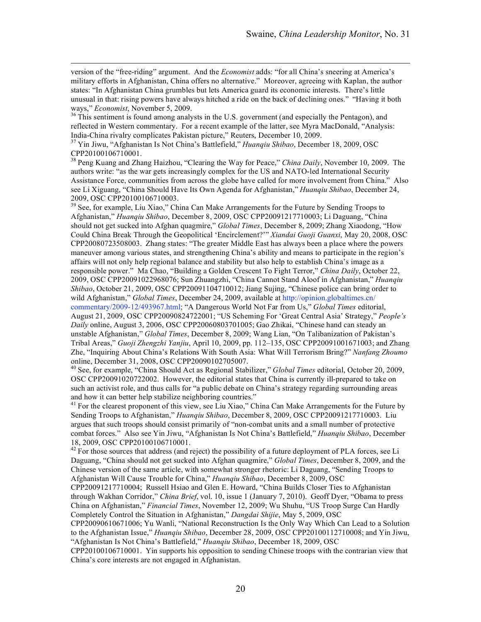version of the "free-riding" argument. And the *Economist* adds: "for all China's sneering at America's military efforts in Afghanistan, China offers no alternative." Moreover, agreeing with Kaplan, the author states: "In Afghanistan China grumbles but lets America guard its economic interests. There's little unusual in that: rising powers have always hitched a ride on the back of declining ones." "Having it both ways," *Economist*, November 5, 2009.<br><sup>36</sup> This sentiment is found among analysts in the U.S. government (and especially the Pentagon), and

reflected in Western commentary. For a recent example of the latter, see Myra MacDonald, "Analysis: India-China rivalry complicates Pakistan picture," Reuters, December 10, 2009. 37 Yin Jiwu, "Afghanistan Is Not China's Battlefield," *Huanqiu Shibao*, December 18, 2009, OSC

CPP20100106710001.

<sup>38</sup> Peng Kuang and Zhang Haizhou, "Clearing the Way for Peace," *China Daily*, November 10, 2009. The authors write: "as the war gets increasingly complex for the US and NATO-led International Security Assistance Force, communities from across the globe have called for more involvement from China." Also see Li Xiguang, "China Should Have Its Own Agenda for Afghanistan," *Huanqiu Shibao*, December 24,

<sup>39</sup> See, for example, Liu Xiao," China Can Make Arrangements for the Future by Sending Troops to Afghanistan," *Huanqiu Shibao*, December 8, 2009, OSC CPP20091217710003; Li Daguang, "China should not get sucked into Afghan quagmire," *Global Times*, December 8, 2009; Zhang Xiaodong, "How Could China Break Through the Geopolitical 'Encirclement?'" *Xiandai Guoji Guanxi*, May 20, 2008, OSC CPP20080723508003. Zhang states: "The greater Middle East has always been a place where the powers maneuver among various states, and strengthening China's ability and means to participate in the region's affairs will not only help regional balance and stability but also help to establish China's image as a responsible power." Ma Chao, "Building a Golden Crescent To Fight Terror," *China Daily*, October 22, 2009, OSC CPP20091022968076; Sun Zhuangzhi, "China Cannot Stand Aloof in Afghanistan," *Huanqiu Shibao*, October 21, 2009, OSC CPP20091104710012; Jiang Sujing, "Chinese police can bring order to wild Afghanistan," *Global Times*, December 24, 2009, available at [http://opinion.globaltimes.cn/](http://opinion.globaltimes.cn/commentary/2009-12/493967.html) [commentary/2009-12/493967.html;](http://opinion.globaltimes.cn/commentary/2009-12/493967.html) "A Dangerous World Not Far from Us," *Global Times* editorial, August 21, 2009, OSC CPP20090824722001; "US Scheming For 'Great Central Asia' Strategy," *People's Daily* online, August 3, 2006, OSC CPP20060803701005; Gao Zhikai, "Chinese hand can steady an unstable Afghanistan," *Global Times*, December 8, 2009; Wang Lian, "On Talibanization of Pakistan's Tribal Areas," *Guoji Zhengzhi Yanjiu*, April 10, 2009, pp. 112–135, OSC CPP20091001671003; and Zhang Zhe, "Inquiring About China's Relations With South Asia: What Will Terrorism Bring?" *Nanfang Zhoumo*

<sup>40</sup> See, for example, "China Should Act as Regional Stabilizer," *Global Times* editorial, October 20, 2009, OSC CPP20091020722002. However, the editorial states that China is currently ill-prepared to take on such an activist role, and thus calls for "a public debate on China's strategy regarding surrounding areas and how it can better help stabilize neighboring countries."

<sup>41</sup> For the clearest proponent of this view, see Liu Xiao," China Can Make Arrangements for the Future by Sending Troops to Afghanistan," *Huanqiu Shibao*, December 8, 2009, OSC CPP20091217710003. Liu argues that such troops should consist primarily of "non-combat units and a small number of protective combat forces." Also see Yin Jiwu, "Afghanistan Is Not China's Battlefield," *Huanqiu Shibao*, December 18, 2009, OSC CPP20100106710001.

 $^{42}$  For those sources that address (and reject) the possibility of a future deployment of PLA forces, see Li Daguang, "China should not get sucked into Afghan quagmire," *Global Times*, December 8, 2009, and the Chinese version of the same article, with somewhat stronger rhetoric: Li Daguang, "Sending Troops to Afghanistan Will Cause Trouble for China," *Huanqiu Shibao*, December 8, 2009, OSC

CPP20091217710004; Russell Hsiao and Glen E. Howard, "China Builds Closer Ties to Afghanistan through Wakhan Corridor," *China Brief*, vol. 10, issue 1 (January 7, 2010). Geoff Dyer, "Obama to press China on Afghanistan," *Financial Times*, November 12, 2009; Wu Shuhu, "US Troop Surge Can Hardly Completely Control the Situation in Afghanistan," *Dangdai Shijie*, May 5, 2009, OSC

CPP20090610671006; Yu Wanli, "National Reconstruction Is the Only Way Which Can Lead to a Solution to the Afghanistan Issue," *Huanqiu Shibao*, December 28, 2009, OSC CPP20100112710008; and Yin Jiwu, "Afghanistan Is Not China's Battlefield," *Huanqiu Shibao*, December 18, 2009, OSC

CPP20100106710001. Yin supports his opposition to sending Chinese troops with the contrarian view that China's core interests are not engaged in Afghanistan.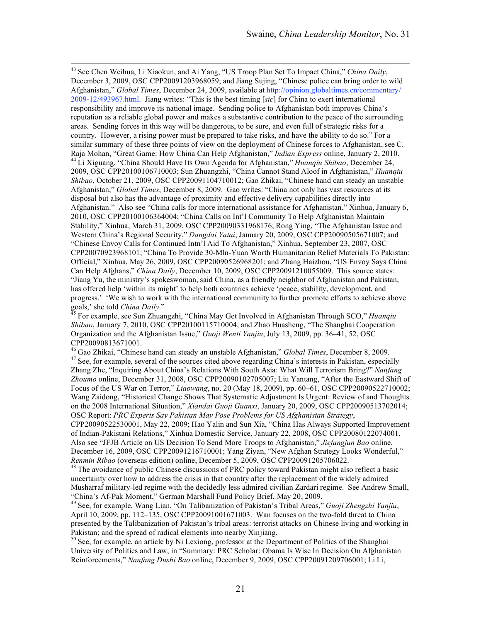43 See Chen Weihua, Li Xiaokun, and Ai Yang, "US Troop Plan Set To Impact China," *China Daily*, December 3, 2009, OSC CPP20091203968059; and Jiang Sujing, "Chinese police can bring order to wild Afghanistan," *Global Times*, December 24, 2009, available at [http://opinion.globaltimes.cn/commentary/](http://opinion.globaltimes.cn/commentary/2009-12/493967.html) [2009-12/493967.html](http://opinion.globaltimes.cn/commentary/2009-12/493967.html). Jiang writes: "This is the best timing [*sic*] for China to exert international responsibility and improve its national image. Sending police to Afghanistan both improves China's reputation as a reliable global power and makes a substantive contribution to the peace of the surrounding areas. Sending forces in this way will be dangerous, to be sure, and even full of strategic risks for a country. However, a rising power must be prepared to take risks, and have the ability to do so." For a similar summary of these three points of view on the deployment of Chinese forces to Afghanistan, see C.<br>Raja Mohan, "Great Game: How China Can Help Afghanistan," *Indian Express* online, January 2, 2010. Raja Mohan, "Great Game: How China Can Help Afghanistan," *Indian Express* online, January 2, 2010. <sup>44</sup> Li Xiguang, "China Should Have Its Own Agenda for Afghanistan," *Huanqiu Shibao*, December 24, 2009, OSC CPP20100106710003; Sun Zhuangzhi, "China Cannot Stand Aloof in Afghanistan," *Huanqiu Shibao*, October 21, 2009, OSC CPP20091104710012; Gao Zhikai, "Chinese hand can steady an unstable Afghanistan," *Global Times*, December 8, 2009. Gao writes: "China not only has vast resources at its disposal but also has the advantage of proximity and effective delivery capabilities directly into Afghanistan." Also see "China calls for more international assistance for Afghanistan," Xinhua, January 6, 2010, OSC CPP20100106364004; "China Calls on Int'l Community To Help Afghanistan Maintain Stability," Xinhua, March 31, 2009, OSC CPP20090331968176; Rong Ying, "The Afghanistan Issue and Western China's Regional Security," *Dangdai Yatai*, January 20, 2009, OSC CPP20090505671007; and "Chinese Envoy Calls for Continued Intn'l Aid To Afghanistan," Xinhua, September 23, 2007, OSC CPP20070923968101; "China To Provide 30-Mln-Yuan Worth Humanitarian Relief Materials To Pakistan: Official," Xinhua, May 26, 2009, OSC CPP20090526968201; and Zhang Haizhou, "US Envoy Says China Can Help Afghans," *China Daily*, December 10, 2009, OSC CPP20091210055009. This source states: "Jiang Yu, the ministry's spokeswoman, said China, as a friendly neighbor of Afghanistan and Pakistan, has offered help 'within its might' to help both countries achieve 'peace, stability, development, and progress.' 'We wish to work with the international community to further promote efforts to achieve above

goals,' she told *China Daily*." 45 For example, see Sun Zhuangzhi, "China May Get Involved in Afghanistan Through SCO," *Huanqiu Shibao*, January 7, 2010, OSC CPP20100115710004; and Zhao Huasheng, "The Shanghai Cooperation Organization and the Afghanistan Issue," *Guoji Wenti Yanjiu*, July 13, 2009, pp. 36–41, 52, OSC CPP20090813671001.<br><sup>46</sup> Gao Zhikai, "Chinese hand can steady an unstable Afghanistan," *Global Times*, December 8, 2009.

<sup>47</sup> See, for example, several of the sources cited above regarding China's interests in Pakistan, especially Zhang Zhe, "Inquiring About China's Relations With South Asia: What Will Terrorism Bring?" *Nanfang Zhoumo* online, December 31, 2008, OSC CPP20090102705007; Liu Yantang, "After the Eastward Shift of Focus of the US War on Terror," *Liaowang*, no. 20 (May 18, 2009), pp. 60–61, OSC CPP20090522710002; Wang Zaidong, "Historical Change Shows That Systematic Adjustment Is Urgent: Review of and Thoughts on the 2008 International Situation," *Xiandai Guoji Guanxi*, January 20, 2009, OSC CPP20090513702014; OSC Report: *PRC Experts Say Pakistan May Pose Problems for US Afghanistan Strategy*,

CPP20090522530001, May 22, 2009; Hao Yalin and Sun Xia, "China Has Always Supported Improvement of Indian-Pakistani Relations," Xinhua Domestic Service, January 22, 2008, OSC CPP20080122074001. Also see "JFJB Article on US Decision To Send More Troops to Afghanistan," *Jiefangjun Bao* online, December 16, 2009, OSC CPP20091216710001; Yang Ziyan, "New Afghan Strategy Looks Wonderful,"

*Renmin Ribao* (overseas edition) online, December 5, 2009, OSC CPP20091205706022.<br><sup>48</sup> The avoidance of public Chinese discussions of PRC policy toward Pakistan might also reflect a basic uncertainty over how to address the crisis in that country after the replacement of the widely admired Musharraf military-led regime with the decidedly less admired civilian Zardari regime. See Andrew Small, "China's Af-Pak Moment," German Marshall Fund Policy Brief, May 20, 2009. 49 See, for example, Wang Lian, "On Talibanization of Pakistan's Tribal Areas," *Guoji Zhengzhi Yanjiu*,

April 10, 2009, pp. 112–135, OSC CPP20091001671003. Wan focuses on the two-fold threat to China presented by the Talibanization of Pakistan's tribal areas: terrorist attacks on Chinese living and working in Pakistan; and the spread of radical elements into nearby Xinjiang.

<sup>50</sup> See, for example, an article by Ni Lexiong, professor at the Department of Politics of the Shanghai University of Politics and Law, in "Summary: PRC Scholar: Obama Is Wise In Decision On Afghanistan Reinforcements," *Nanfang Dushi Bao* online, December 9, 2009, OSC CPP20091209706001; Li Li,